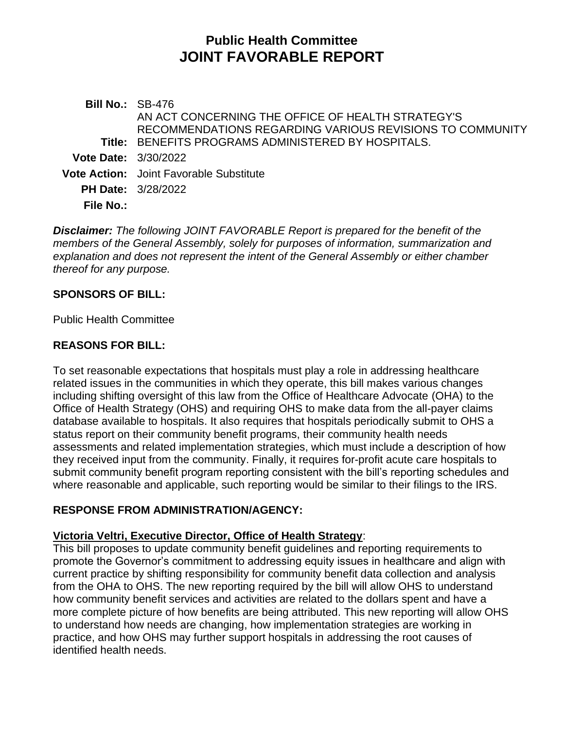# **Public Health Committee JOINT FAVORABLE REPORT**

**Bill No.:** SB-476 **Title:** BENEFITS PROGRAMS ADMINISTERED BY HOSPITALS. AN ACT CONCERNING THE OFFICE OF HEALTH STRATEGY'S RECOMMENDATIONS REGARDING VARIOUS REVISIONS TO COMMUNITY **Vote Date:** 3/30/2022 **Vote Action:** Joint Favorable Substitute **PH Date:** 3/28/2022 **File No.:**

*Disclaimer: The following JOINT FAVORABLE Report is prepared for the benefit of the members of the General Assembly, solely for purposes of information, summarization and explanation and does not represent the intent of the General Assembly or either chamber thereof for any purpose.*

#### **SPONSORS OF BILL:**

Public Health Committee

#### **REASONS FOR BILL:**

To set reasonable expectations that hospitals must play a role in addressing healthcare related issues in the communities in which they operate, this bill makes various changes including shifting oversight of this law from the Office of Healthcare Advocate (OHA) to the Office of Health Strategy (OHS) and requiring OHS to make data from the all-payer claims database available to hospitals. It also requires that hospitals periodically submit to OHS a status report on their community benefit programs, their community health needs assessments and related implementation strategies, which must include a description of how they received input from the community. Finally, it requires for-profit acute care hospitals to submit community benefit program reporting consistent with the bill's reporting schedules and where reasonable and applicable, such reporting would be similar to their filings to the IRS.

## **RESPONSE FROM ADMINISTRATION/AGENCY:**

#### **Victoria Veltri, Executive Director, Office of Health Strategy**:

This bill proposes to update community benefit guidelines and reporting requirements to promote the Governor's commitment to addressing equity issues in healthcare and align with current practice by shifting responsibility for community benefit data collection and analysis from the OHA to OHS. The new reporting required by the bill will allow OHS to understand how community benefit services and activities are related to the dollars spent and have a more complete picture of how benefits are being attributed. This new reporting will allow OHS to understand how needs are changing, how implementation strategies are working in practice, and how OHS may further support hospitals in addressing the root causes of identified health needs.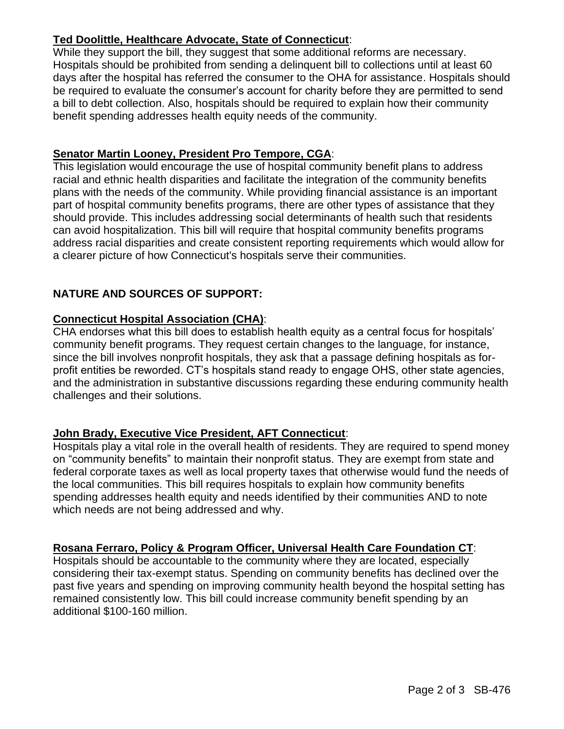## **Ted Doolittle, Healthcare Advocate, State of Connecticut**:

While they support the bill, they suggest that some additional reforms are necessary. Hospitals should be prohibited from sending a delinquent bill to collections until at least 60 days after the hospital has referred the consumer to the OHA for assistance. Hospitals should be required to evaluate the consumer's account for charity before they are permitted to send a bill to debt collection. Also, hospitals should be required to explain how their community benefit spending addresses health equity needs of the community.

## **Senator Martin Looney, President Pro Tempore, CGA**:

This legislation would encourage the use of hospital community benefit plans to address racial and ethnic health disparities and facilitate the integration of the community benefits plans with the needs of the community. While providing financial assistance is an important part of hospital community benefits programs, there are other types of assistance that they should provide. This includes addressing social determinants of health such that residents can avoid hospitalization. This bill will require that hospital community benefits programs address racial disparities and create consistent reporting requirements which would allow for a clearer picture of how Connecticut's hospitals serve their communities.

## **NATURE AND SOURCES OF SUPPORT:**

#### **Connecticut Hospital Association (CHA)**:

CHA endorses what this bill does to establish health equity as a central focus for hospitals' community benefit programs. They request certain changes to the language, for instance, since the bill involves nonprofit hospitals, they ask that a passage defining hospitals as forprofit entities be reworded. CT's hospitals stand ready to engage OHS, other state agencies, and the administration in substantive discussions regarding these enduring community health challenges and their solutions.

## **John Brady, Executive Vice President, AFT Connecticut**:

Hospitals play a vital role in the overall health of residents. They are required to spend money on "community benefits" to maintain their nonprofit status. They are exempt from state and federal corporate taxes as well as local property taxes that otherwise would fund the needs of the local communities. This bill requires hospitals to explain how community benefits spending addresses health equity and needs identified by their communities AND to note which needs are not being addressed and why.

#### **Rosana Ferraro, Policy & Program Officer, Universal Health Care Foundation CT**:

Hospitals should be accountable to the community where they are located, especially considering their tax-exempt status. Spending on community benefits has declined over the past five years and spending on improving community health beyond the hospital setting has remained consistently low. This bill could increase community benefit spending by an additional \$100-160 million.